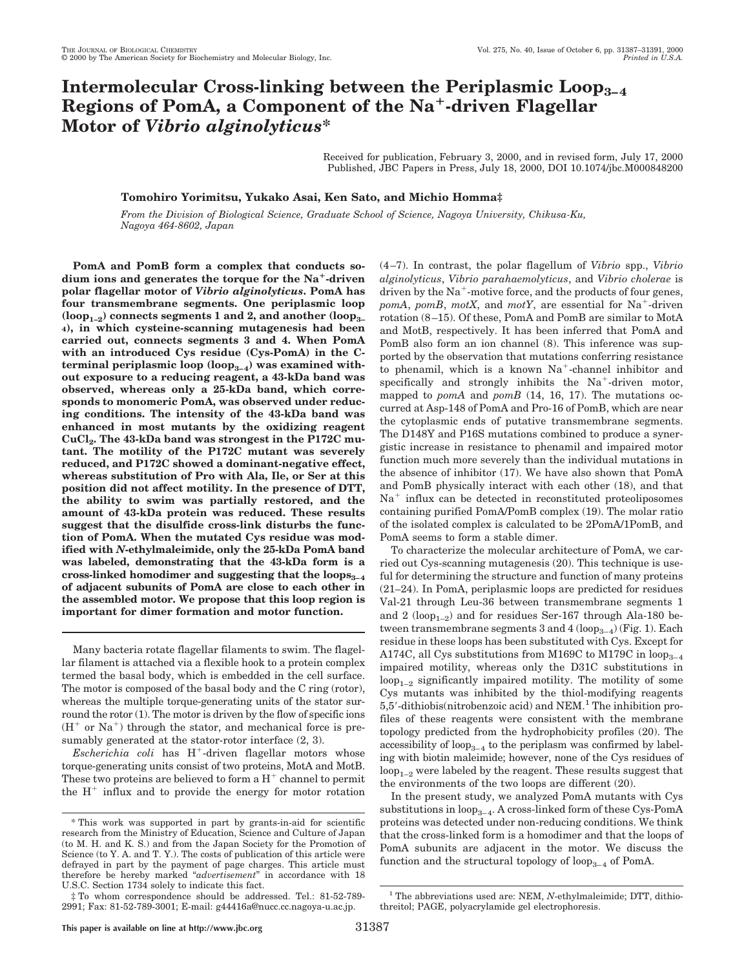# **Intermolecular Cross-linking between the Periplasmic Loop3–4 Regions of PomA, a Component of the Na**1**-driven Flagellar Motor of** *Vibrio alginolyticus***\***

Received for publication, February 3, 2000, and in revised form, July 17, 2000 Published, JBC Papers in Press, July 18, 2000, DOI 10.1074/jbc.M000848200

# **Tomohiro Yorimitsu, Yukako Asai, Ken Sato, and Michio Homma‡**

*From the Division of Biological Science, Graduate School of Science, Nagoya University, Chikusa-Ku, Nagoya 464-8602, Japan*

**PomA and PomB form a complex that conducts sodium ions and generates the torque for the Na**1**-driven polar flagellar motor of** *Vibrio alginolyticus***. PomA has four transmembrane segments. One periplasmic loop (loop1–2) connects segments 1 and 2, and another (loop3– 4), in which cysteine-scanning mutagenesis had been carried out, connects segments 3 and 4. When PomA with an introduced Cys residue (Cys-PomA) in the C**terminal periplasmic loop (loop<sub>3-4</sub>) was examined with**out exposure to a reducing reagent, a 43-kDa band was observed, whereas only a 25-kDa band, which corresponds to monomeric PomA, was observed under reducing conditions. The intensity of the 43-kDa band was enhanced in most mutants by the oxidizing reagent** CuCl<sub>2</sub>. The 43-kDa band was strongest in the P172C mu**tant. The motility of the P172C mutant was severely reduced, and P172C showed a dominant-negative effect, whereas substitution of Pro with Ala, Ile, or Ser at this position did not affect motility. In the presence of DTT, the ability to swim was partially restored, and the amount of 43-kDa protein was reduced. These results suggest that the disulfide cross-link disturbs the function of PomA. When the mutated Cys residue was modified with** *N***-ethylmaleimide, only the 25-kDa PomA band was labeled, demonstrating that the 43-kDa form is a cross-linked homodimer and suggesting that the loops3–4 of adjacent subunits of PomA are close to each other in the assembled motor. We propose that this loop region is important for dimer formation and motor function.**

Many bacteria rotate flagellar filaments to swim. The flagellar filament is attached via a flexible hook to a protein complex termed the basal body, which is embedded in the cell surface. The motor is composed of the basal body and the C ring (rotor), whereas the multiple torque-generating units of the stator surround the rotor (1). The motor is driven by the flow of specific ions  $(H^+$  or  $Na^+)$  through the stator, and mechanical force is presumably generated at the stator-rotor interface (2, 3).

 $Escherichia coli$  has  $H^+$ -driven flagellar motors whose torque-generating units consist of two proteins, MotA and MotB. These two proteins are believed to form a  $H^+$  channel to permit the  $H^+$  influx and to provide the energy for motor rotation

(4–7). In contrast, the polar flagellum of *Vibrio* spp., *Vibrio alginolyticus*, *Vibrio parahaemolyticus*, and *Vibrio cholerae* is driven by the  $Na^+$ -motive force, and the products of four genes, *pomA*, *pomB*, *motX*, and *motY*, are essential for  $Na^+$ -driven rotation (8–15). Of these, PomA and PomB are similar to MotA and MotB, respectively. It has been inferred that PomA and PomB also form an ion channel (8). This inference was supported by the observation that mutations conferring resistance to phenamil, which is a known  $Na<sup>+</sup>$ -channel inhibitor and specifically and strongly inhibits the  $Na<sup>+</sup>$ -driven motor, mapped to *pomA* and *pomB* (14, 16, 17). The mutations occurred at Asp-148 of PomA and Pro-16 of PomB, which are near the cytoplasmic ends of putative transmembrane segments. The D148Y and P16S mutations combined to produce a synergistic increase in resistance to phenamil and impaired motor function much more severely than the individual mutations in the absence of inhibitor (17). We have also shown that PomA and PomB physically interact with each other (18), and that  $Na<sup>+</sup>$  influx can be detected in reconstituted proteoliposomes containing purified PomA/PomB complex (19). The molar ratio of the isolated complex is calculated to be 2PomA/1PomB, and PomA seems to form a stable dimer.

To characterize the molecular architecture of PomA, we carried out Cys-scanning mutagenesis (20). This technique is useful for determining the structure and function of many proteins (21–24). In PomA, periplasmic loops are predicted for residues Val-21 through Leu-36 between transmembrane segments 1 and 2 ( $loop_{1-2}$ ) and for residues Ser-167 through Ala-180 between transmembrane segments 3 and 4 (loop<sub>3–4</sub>) (Fig. 1). Each residue in these loops has been substituted with Cys. Except for A174C, all Cys substitutions from M169C to M179C in  $loop_{3-4}$ impaired motility, whereas only the D31C substitutions in  $loop_{1-2}$  significantly impaired motility. The motility of some Cys mutants was inhibited by the thiol-modifying reagents  $5,5'$ -dithiobis(nitrobenzoic acid) and NEM.<sup>1</sup> The inhibition profiles of these reagents were consistent with the membrane topology predicted from the hydrophobicity profiles (20). The accessibility of  $loop_{3-4}$  to the periplasm was confirmed by labeling with biotin maleimide; however, none of the Cys residues of  $loop_{1-2}$  were labeled by the reagent. These results suggest that the environments of the two loops are different (20).

In the present study, we analyzed PomA mutants with Cys substitutions in  $loop_{3-4}$ . A cross-linked form of these Cys-PomA proteins was detected under non-reducing conditions. We think that the cross-linked form is a homodimer and that the loops of PomA subunits are adjacent in the motor. We discuss the function and the structural topology of loop<sub>3–4</sub> of PomA.

<sup>\*</sup> This work was supported in part by grants-in-aid for scientific research from the Ministry of Education, Science and Culture of Japan (to M. H. and K. S.) and from the Japan Society for the Promotion of Science (to Y. A. and T. Y.). The costs of publication of this article were defrayed in part by the payment of page charges. This article must therefore be hereby marked "*advertisement*" in accordance with 18 U.S.C. Section 1734 solely to indicate this fact.

<sup>‡</sup> To whom correspondence should be addressed. Tel.: 81-52-789- 2991; Fax: 81-52-789-3001; E-mail: g44416a@nucc.cc.nagoya-u.ac.jp.

**This paper is available on line at http://www.jbc.org** 31387

<sup>&</sup>lt;sup>1</sup> The abbreviations used are: NEM, *N*-ethylmaleimide; DTT, dithiothreitol; PAGE, polyacrylamide gel electrophoresis.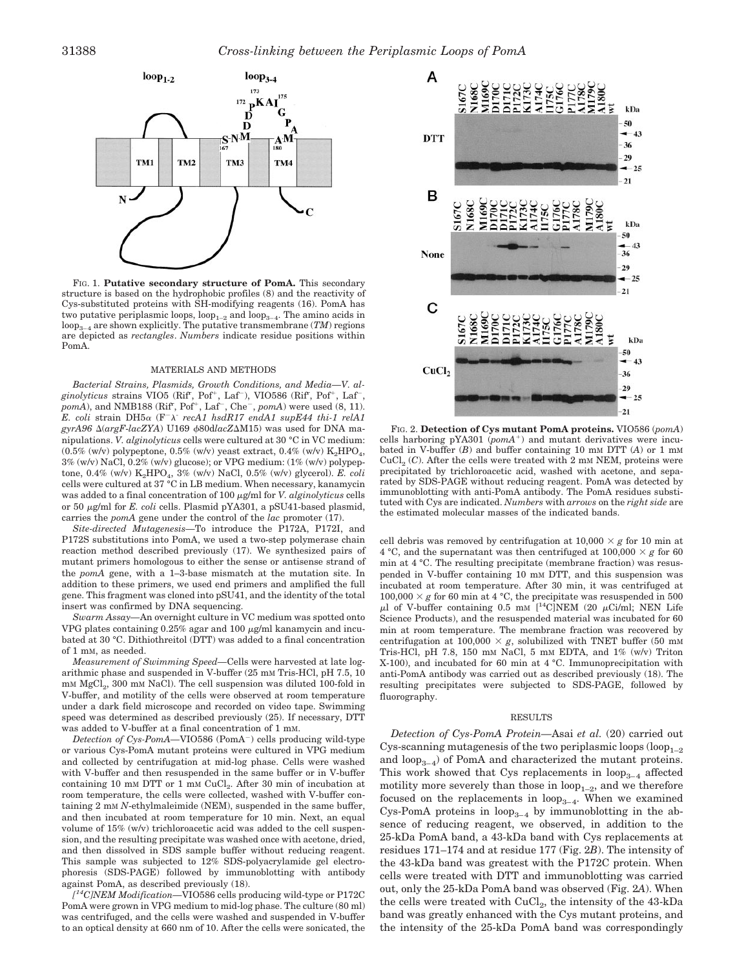

FIG. 1. **Putative secondary structure of PomA.** This secondary structure is based on the hydrophobic profiles (8) and the reactivity of Cys-substituted proteins with SH-modifying reagents (16). PomA has two putative periplasmic loops,  $loop_{1-2}$  and  $loop_{3-4}$ . The amino acids in  $\log_{3-4}$  are shown explicitly. The putative transmembrane (*TM*) regions are depicted as *rectangles*. *Numbers* indicate residue positions within PomA.

#### MATERIALS AND METHODS

*Bacterial Strains, Plasmids, Growth Conditions, and Media—V. al*ginolyticus strains VIO5 (Rif<sup>r</sup>, Pof<sup>+</sup>, Laf<sup>-</sup>), VIO586 (Rif<sup>r</sup>, Pof<sup>+</sup>, Laf<sup>-</sup>,  $pomA$ , and NMB188 (Rif<sup>r</sup>, Pof<sup>+</sup>, Laf<sup>-</sup>, Che<sup>-</sup>,  $pomA$ ) were used (8, 11). *E. coli* strain DH5 $\alpha$  (F<sup>-</sup> $\lambda$ <sup>-</sup> *recA1 hsdR17 endA1 supE44 thi-1 relA1*  $gyrA96 \triangle (argF-lacZYA)$  U169  $\phi$ 80d*lacZ* $\triangle$ M15) was used for DNA manipulations. *V. alginolyticus* cells were cultured at 30 °C in VC medium:  $(0.5\%$  (w/v) polypeptone,  $0.5\%$  (w/v) yeast extract,  $0.4\%$  (w/v) K<sub>2</sub>HPO<sub>4</sub>,  $3\%$  (w/v) NaCl,  $0.2\%$  (w/v) glucose); or VPG medium:  $(1\%$  (w/v) polypeptone, 0.4% (w/v) K<sub>2</sub>HPO<sub>4</sub>, 3% (w/v) NaCl, 0.5% (w/v) glycerol). *E. coli*<br>cells were cultured at 37 °C in LB medium. When necessary, kanamycin was added to a final concentration of 100  $\mu$ g/ml for *V. alginolyticus* cells or 50 <sup>m</sup>g/ml for *E. coli* cells. Plasmid pYA301, a pSU41-based plasmid, carries the *pomA* gene under the control of the *lac* promoter (17).

*Site-directed Mutagenesis—*To introduce the P172A, P172I, and P172S substitutions into PomA, we used a two-step polymerase chain reaction method described previously (17). We synthesized pairs of mutant primers homologous to either the sense or antisense strand of the *pomA* gene, with a 1–3-base mismatch at the mutation site. In addition to these primers, we used end primers and amplified the full gene. This fragment was cloned into pSU41, and the identity of the total insert was confirmed by DNA sequencing.

*Swarm Assay—*An overnight culture in VC medium was spotted onto VPG plates containing  $0.25\%$  agar and 100  $\mu$ g/ml kanamycin and incubated at 30 °C. Dithiothreitol (DTT) was added to a final concentration of 1 mM, as needed.

*Measurement of Swimming Speed—*Cells were harvested at late logarithmic phase and suspended in V-buffer (25 mm Tris-HCl, pH 7.5, 10)  $mm MgCl<sub>2</sub>$ , 300 mm NaCl). The cell suspension was diluted 100-fold in V-buffer, and motility of the cells were observed at room temperature under a dark field microscope and recorded on video tape. Swimming speed was determined as described previously (25). If necessary, DTT was added to V-buffer at a final concentration of 1 mM.

*Detection of Cys-PomA*—VIO586 (PomA<sup>-</sup>) cells producing wild-type or various Cys-PomA mutant proteins were cultured in VPG medium and collected by centrifugation at mid-log phase. Cells were washed with V-buffer and then resuspended in the same buffer or in V-buffer containing 10 mm DTT or 1 mm CuCl<sub>2</sub>. After 30 min of incubation at room temperature, the cells were collected, washed with V-buffer containing 2 mM *N*-ethylmaleimide (NEM), suspended in the same buffer, and then incubated at room temperature for 10 min. Next, an equal volume of 15% (w/v) trichloroacetic acid was added to the cell suspension, and the resulting precipitate was washed once with acetone, dried, and then dissolved in SDS sample buffer without reducing reagent. This sample was subjected to 12% SDS-polyacrylamide gel electrophoresis (SDS-PAGE) followed by immunoblotting with antibody against PomA, as described previously (18).

*[ 14C]NEM Modification—*VIO586 cells producing wild-type or P172C PomA were grown in VPG medium to mid-log phase. The culture (80 ml) was centrifuged, and the cells were washed and suspended in V-buffer to an optical density at 660 nm of 10. After the cells were sonicated, the



FIG. 2. **Detection of Cys mutant PomA proteins.** VIO586 (*pomA*) cells harboring  $pYA301 (pomA<sup>+</sup>)$  and mutant derivatives were incubated in V-buffer (*B*) and buffer containing 10 mM DTT (*A*) or 1 mM  $CuCl<sub>2</sub>(C)$ . After the cells were treated with 2 mM NEM, proteins were precipitated by trichloroacetic acid, washed with acetone, and separated by SDS-PAGE without reducing reagent. PomA was detected by immunoblotting with anti-PomA antibody. The PomA residues substituted with Cys are indicated. *Numbers* with *arrows* on the *right side* are the estimated molecular masses of the indicated bands.

cell debris was removed by centrifugation at  $10,000 \times g$  for 10 min at 4 °C, and the supernatant was then centrifuged at  $100,000 \times g$  for 60 min at 4 °C. The resulting precipitate (membrane fraction) was resuspended in V-buffer containing 10 mM DTT, and this suspension was incubated at room temperature. After 30 min, it was centrifuged at 100,000  $\times$  *g* for 60 min at 4 °C, the precipitate was resuspended in 500  $\mu$ l of V-buffer containing 0.5 mm [<sup>14</sup>C]NEM (20  $\mu$ Ci/ml; NEN Life Science Products), and the resuspended material was incubated for 60 min at room temperature. The membrane fraction was recovered by centrifugation at 100,000  $\times$  *g*, solubilized with TNET buffer (50 mM Tris-HCl, pH 7.8, 150 mM NaCl, 5 mM EDTA, and 1% (w/v) Triton X-100), and incubated for 60 min at 4 °C. Immunoprecipitation with anti-PomA antibody was carried out as described previously (18). The resulting precipitates were subjected to SDS-PAGE, followed by fluorography.

#### RESULTS

*Detection of Cys-PomA Protein—*Asai *et al.* (20) carried out Cys-scanning mutagenesis of the two periplasmic loops  $(log_{1-2}$ and  $loop_{3-4}$ ) of PomA and characterized the mutant proteins. This work showed that Cys replacements in  $loop_{3-4}$  affected motility more severely than those in  $loop_{1-2}$ , and we therefore focused on the replacements in loop $_{3-4}$ . When we examined Cys-PomA proteins in  $loop_{3-4}$  by immunoblotting in the absence of reducing reagent, we observed, in addition to the 25-kDa PomA band, a 43-kDa band with Cys replacements at residues 171–174 and at residue 177 (Fig. 2*B*). The intensity of the 43-kDa band was greatest with the P172C protein. When cells were treated with DTT and immunoblotting was carried out, only the 25-kDa PomA band was observed (Fig. 2*A*). When the cells were treated with  $CuCl<sub>2</sub>$ , the intensity of the 43-kDa band was greatly enhanced with the Cys mutant proteins, and the intensity of the 25-kDa PomA band was correspondingly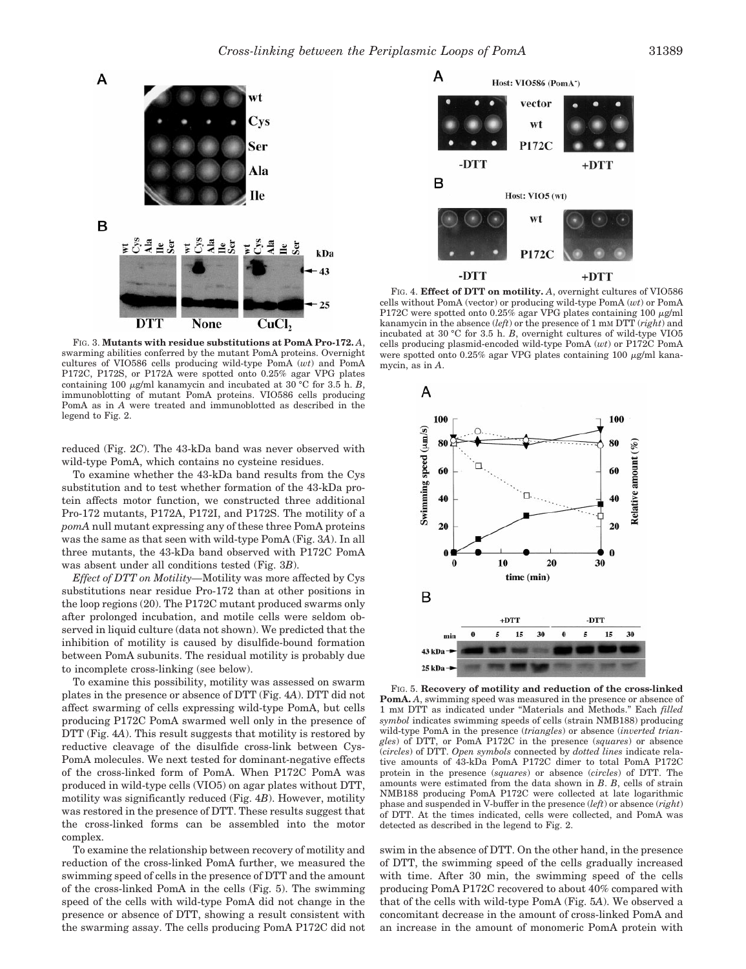



A

в

FIG. 3. **Mutants with residue substitutions at PomA Pro-172.** *A*, swarming abilities conferred by the mutant PomA proteins. Overnight cultures of VIO586 cells producing wild-type PomA (*wt*) and PomA P172C, P172S, or P172A were spotted onto 0.25% agar VPG plates containing 100  $\mu$ g/ml kanamycin and incubated at 30 °C for 3.5 h. *B*, immunoblotting of mutant PomA proteins. VIO586 cells producing PomA as in *A* were treated and immunoblotted as described in the legend to Fig. 2.

reduced (Fig. 2*C*). The 43-kDa band was never observed with wild-type PomA, which contains no cysteine residues.

To examine whether the 43-kDa band results from the Cys substitution and to test whether formation of the 43-kDa protein affects motor function, we constructed three additional Pro-172 mutants, P172A, P172I, and P172S. The motility of a *pomA* null mutant expressing any of these three PomA proteins was the same as that seen with wild-type PomA (Fig. 3*A*). In all three mutants, the 43-kDa band observed with P172C PomA was absent under all conditions tested (Fig. 3*B*).

*Effect of DTT on Motility—*Motility was more affected by Cys substitutions near residue Pro-172 than at other positions in the loop regions (20). The P172C mutant produced swarms only after prolonged incubation, and motile cells were seldom observed in liquid culture (data not shown). We predicted that the inhibition of motility is caused by disulfide-bound formation between PomA subunits. The residual motility is probably due to incomplete cross-linking (see below).

To examine this possibility, motility was assessed on swarm plates in the presence or absence of DTT (Fig. 4*A*). DTT did not affect swarming of cells expressing wild-type PomA, but cells producing P172C PomA swarmed well only in the presence of DTT (Fig. 4*A*). This result suggests that motility is restored by reductive cleavage of the disulfide cross-link between Cys-PomA molecules. We next tested for dominant-negative effects of the cross-linked form of PomA. When P172C PomA was produced in wild-type cells (VIO5) on agar plates without DTT, motility was significantly reduced (Fig. 4*B*). However, motility was restored in the presence of DTT. These results suggest that the cross-linked forms can be assembled into the motor complex.

To examine the relationship between recovery of motility and reduction of the cross-linked PomA further, we measured the swimming speed of cells in the presence of DTT and the amount of the cross-linked PomA in the cells (Fig. 5). The swimming speed of the cells with wild-type PomA did not change in the presence or absence of DTT, showing a result consistent with the swarming assay. The cells producing PomA P172C did not



FIG. 4. **Effect of DTT on motility.** *A*, overnight cultures of VIO586 cells without PomA (vector) or producing wild-type PomA (*wt*) or PomA P172C were spotted onto  $0.25\%$  agar VPG plates containing 100  $\mu$ g/ml kanamycin in the absence (*left*) or the presence of 1 mM DTT (*right*) and incubated at 30 °C for 3.5 h. *B*, overnight cultures of wild-type VIO5 cells producing plasmid-encoded wild-type PomA (*wt*) or P172C PomA were spotted onto 0.25% agar VPG plates containing 100 µg/ml kanamycin, as in *A*.



FIG. 5. **Recovery of motility and reduction of the cross-linked PomA.** *A*, swimming speed was measured in the presence or absence of 1 mM DTT as indicated under "Materials and Methods." Each *filled symbol* indicates swimming speeds of cells (strain NMB188) producing wild-type PomA in the presence (*triangles*) or absence (*inverted triangles*) of DTT, or PomA P172C in the presence (*squares*) or absence (*circles*) of DTT. *Open symbols* connected by *dotted lines* indicate relative amounts of 43-kDa PomA P172C dimer to total PomA P172C protein in the presence (*squares*) or absence (*circles*) of DTT. The amounts were estimated from the data shown in *B*. *B*, cells of strain NMB188 producing PomA P172C were collected at late logarithmic phase and suspended in V-buffer in the presence (*left*) or absence (*right*) of DTT. At the times indicated, cells were collected, and PomA was detected as described in the legend to Fig. 2.

swim in the absence of DTT. On the other hand, in the presence of DTT, the swimming speed of the cells gradually increased with time. After 30 min, the swimming speed of the cells producing PomA P172C recovered to about 40% compared with that of the cells with wild-type PomA (Fig. 5*A*). We observed a concomitant decrease in the amount of cross-linked PomA and an increase in the amount of monomeric PomA protein with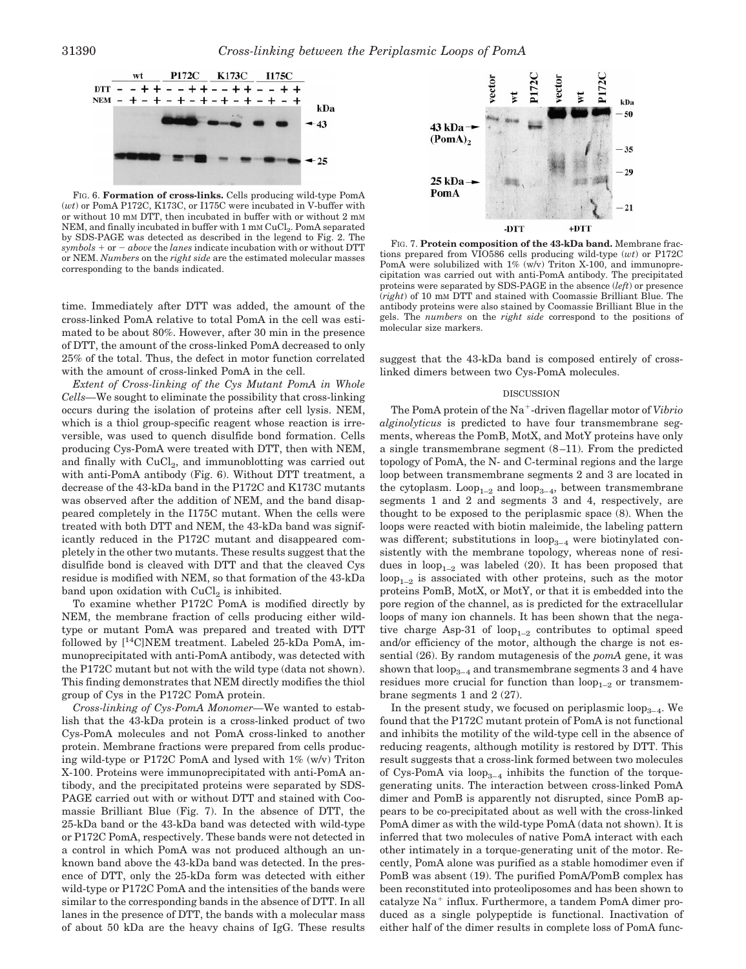

FIG. 6. **Formation of cross-links.** Cells producing wild-type PomA (*wt*) or PomA P172C, K173C, or I175C were incubated in V-buffer with or without 10 mM DTT, then incubated in buffer with or without 2 mM NEM, and finally incubated in buffer with  $1 \text{ mm CuCl}_2$ . PomA separated by SDS-PAGE was detected as described in the legend to Fig. 2. The  $symbols + or - above$  the *lanes* indicate incubation with or without DTT or NEM. *Numbers* on the *right side* are the estimated molecular masses corresponding to the bands indicated.

time. Immediately after DTT was added, the amount of the cross-linked PomA relative to total PomA in the cell was estimated to be about 80%. However, after 30 min in the presence of DTT, the amount of the cross-linked PomA decreased to only 25% of the total. Thus, the defect in motor function correlated with the amount of cross-linked PomA in the cell.

*Extent of Cross-linking of the Cys Mutant PomA in Whole Cells—*We sought to eliminate the possibility that cross-linking occurs during the isolation of proteins after cell lysis. NEM, which is a thiol group-specific reagent whose reaction is irreversible, was used to quench disulfide bond formation. Cells producing Cys-PomA were treated with DTT, then with NEM, and finally with  $CuCl<sub>2</sub>$ , and immunoblotting was carried out with anti-PomA antibody (Fig. 6). Without DTT treatment, a decrease of the 43-kDa band in the P172C and K173C mutants was observed after the addition of NEM, and the band disappeared completely in the I175C mutant. When the cells were treated with both DTT and NEM, the 43-kDa band was significantly reduced in the P172C mutant and disappeared completely in the other two mutants. These results suggest that the disulfide bond is cleaved with DTT and that the cleaved Cys residue is modified with NEM, so that formation of the 43-kDa band upon oxidation with  $CuCl<sub>2</sub>$  is inhibited.

To examine whether P172C PomA is modified directly by NEM, the membrane fraction of cells producing either wildtype or mutant PomA was prepared and treated with DTT followed by  $\lceil$ <sup>14</sup>C]NEM treatment. Labeled 25-kDa PomA, immunoprecipitated with anti-PomA antibody, was detected with the P172C mutant but not with the wild type (data not shown). This finding demonstrates that NEM directly modifies the thiol group of Cys in the P172C PomA protein.

*Cross-linking of Cys-PomA Monomer—*We wanted to establish that the 43-kDa protein is a cross-linked product of two Cys-PomA molecules and not PomA cross-linked to another protein. Membrane fractions were prepared from cells producing wild-type or P172C PomA and lysed with 1% (w/v) Triton X-100. Proteins were immunoprecipitated with anti-PomA antibody, and the precipitated proteins were separated by SDS-PAGE carried out with or without DTT and stained with Coomassie Brilliant Blue (Fig. 7). In the absence of DTT, the 25-kDa band or the 43-kDa band was detected with wild-type or P172C PomA, respectively. These bands were not detected in a control in which PomA was not produced although an unknown band above the 43-kDa band was detected. In the presence of DTT, only the 25-kDa form was detected with either wild-type or P172C PomA and the intensities of the bands were similar to the corresponding bands in the absence of DTT. In all lanes in the presence of DTT, the bands with a molecular mass of about 50 kDa are the heavy chains of IgG. These results



FIG. 7. **Protein composition of the 43-kDa band.** Membrane fractions prepared from VIO586 cells producing wild-type (*wt*) or P172C PomA were solubilized with  $1\%$  (w/v) Triton X-100, and immunoprecipitation was carried out with anti-PomA antibody. The precipitated proteins were separated by SDS-PAGE in the absence (*left*) or presence (*right*) of 10 mM DTT and stained with Coomassie Brilliant Blue. The antibody proteins were also stained by Coomassie Brilliant Blue in the gels. The *numbers* on the *right side* correspond to the positions of molecular size markers.

suggest that the 43-kDa band is composed entirely of crosslinked dimers between two Cys-PomA molecules.

### DISCUSSION

The PomA protein of the Na<sup>+</sup>-driven flagellar motor of *Vibrio alginolyticus* is predicted to have four transmembrane segments, whereas the PomB, MotX, and MotY proteins have only a single transmembrane segment (8–11). From the predicted topology of PomA, the N- and C-terminal regions and the large loop between transmembrane segments 2 and 3 are located in the cytoplasm.  $Loop_{1-2}$  and  $loop_{3-4}$ , between transmembrane segments 1 and 2 and segments 3 and 4, respectively, are thought to be exposed to the periplasmic space (8). When the loops were reacted with biotin maleimide, the labeling pattern was different; substitutions in  $loop_{3-4}$  were biotinylated consistently with the membrane topology, whereas none of residues in  $loop_{1-2}$  was labeled (20). It has been proposed that  $loop_{1-2}$  is associated with other proteins, such as the motor proteins PomB, MotX, or MotY, or that it is embedded into the pore region of the channel, as is predicted for the extracellular loops of many ion channels. It has been shown that the negative charge Asp-31 of  $loop_{1-2}$  contributes to optimal speed and/or efficiency of the motor, although the charge is not essential (26). By random mutagenesis of the *pomA* gene, it was shown that  $loop_{3-4}$  and transmembrane segments 3 and 4 have residues more crucial for function than  $loop_{1-2}$  or transmembrane segments 1 and 2 (27).

In the present study, we focused on periplasmic loop<sub>3–4</sub>. We found that the P172C mutant protein of PomA is not functional and inhibits the motility of the wild-type cell in the absence of reducing reagents, although motility is restored by DTT. This result suggests that a cross-link formed between two molecules of Cys-PomA via  $loop_{3-4}$  inhibits the function of the torquegenerating units. The interaction between cross-linked PomA dimer and PomB is apparently not disrupted, since PomB appears to be co-precipitated about as well with the cross-linked PomA dimer as with the wild-type PomA (data not shown). It is inferred that two molecules of native PomA interact with each other intimately in a torque-generating unit of the motor. Recently, PomA alone was purified as a stable homodimer even if PomB was absent (19). The purified PomA/PomB complex has been reconstituted into proteoliposomes and has been shown to catalyze  $Na<sup>+</sup>$  influx. Furthermore, a tandem PomA dimer produced as a single polypeptide is functional. Inactivation of either half of the dimer results in complete loss of PomA func